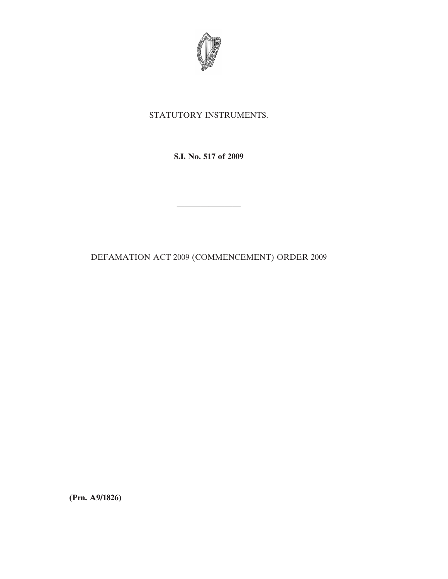

## STATUTORY INSTRUMENTS.

**S.I. No. 517 of 2009**

————————

DEFAMATION ACT 2009 (COMMENCEMENT) ORDER 2009

**(Prn. A9/1826)**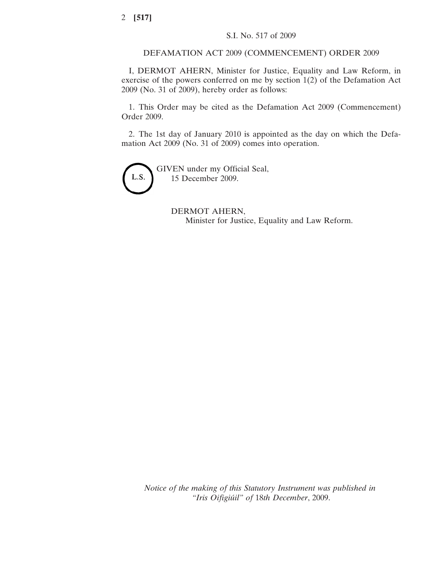## DEFAMATION ACT 2009 (COMMENCEMENT) ORDER 2009

I, DERMOT AHERN, Minister for Justice, Equality and Law Reform, in exercise of the powers conferred on me by section 1(2) of the Defamation Act 2009 (No. 31 of 2009), hereby order as follows:

1. This Order may be cited as the Defamation Act 2009 (Commencement) Order 2009.

2. The 1st day of January 2010 is appointed as the day on which the Defamation Act 2009 (No. 31 of 2009) comes into operation.



GIVEN under my Official Seal, 15 December 2009.

> DERMOT AHERN, Minister for Justice, Equality and Law Reform.

*Notice of the making of this Statutory Instrument was published in "Iris Oifigiúil" of* 18*th December*, 2009.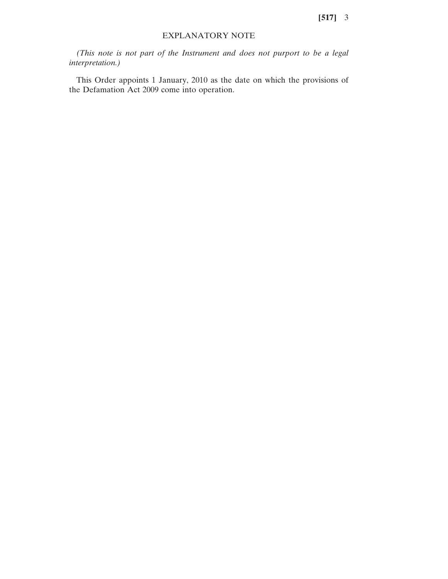## EXPLANATORY NOTE

*(This note is not part of the Instrument and does not purport to be a legal interpretation.)*

This Order appoints 1 January, 2010 as the date on which the provisions of the Defamation Act 2009 come into operation.